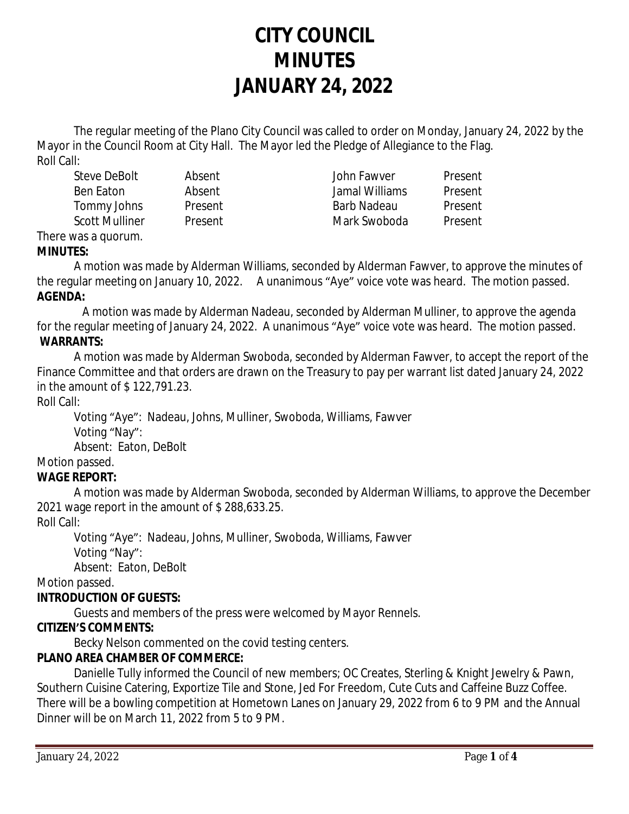# **CITY COUNCIL MINUTES JANUARY 24, 2022**

The regular meeting of the Plano City Council was called to order on Monday, January 24, 2022 by the Mayor in the Council Room at City Hall. The Mayor led the Pledge of Allegiance to the Flag. Roll Call:

Steve DeBolt Absent John Fawver Present Ben Eaton Absent Jamal Williams Present Tommy Johns Present Barb Nadeau Present Scott Mulliner and Present Mark Swoboda Present

#### There was a quorum. **MINUTES:**

A motion was made by Alderman Williams, seconded by Alderman Fawver, to approve the minutes of the regular meeting on January 10, 2022. A unanimous "Aye" voice vote was heard. The motion passed. **AGENDA:**

 A motion was made by Alderman Nadeau, seconded by Alderman Mulliner, to approve the agenda for the regular meeting of January 24, 2022. A unanimous "Aye" voice vote was heard. The motion passed. **WARRANTS:**

A motion was made by Alderman Swoboda, seconded by Alderman Fawver, to accept the report of the Finance Committee and that orders are drawn on the Treasury to pay per warrant list dated January 24, 2022 in the amount of \$ 122,791.23.

Roll Call:

Voting "Aye": Nadeau, Johns, Mulliner, Swoboda, Williams, Fawver Voting "Nay":

Absent: Eaton, DeBolt

Motion passed.

# **WAGE REPORT:**

A motion was made by Alderman Swoboda, seconded by Alderman Williams, to approve the December 2021 wage report in the amount of \$ 288,633.25.

Roll Call:

Voting "Aye": Nadeau, Johns, Mulliner, Swoboda, Williams, Fawver Voting "Nay":

Absent: Eaton, DeBolt

Motion passed.

# **INTRODUCTION OF GUESTS:**

Guests and members of the press were welcomed by Mayor Rennels.

# **CITIZEN'S COMMENTS:**

Becky Nelson commented on the covid testing centers.

# **PLANO AREA CHAMBER OF COMMERCE:**

Danielle Tully informed the Council of new members; OC Creates, Sterling & Knight Jewelry & Pawn, Southern Cuisine Catering, Exportize Tile and Stone, Jed For Freedom, Cute Cuts and Caffeine Buzz Coffee. There will be a bowling competition at Hometown Lanes on January 29, 2022 from 6 to 9 PM and the Annual Dinner will be on March 11, 2022 from 5 to 9 PM.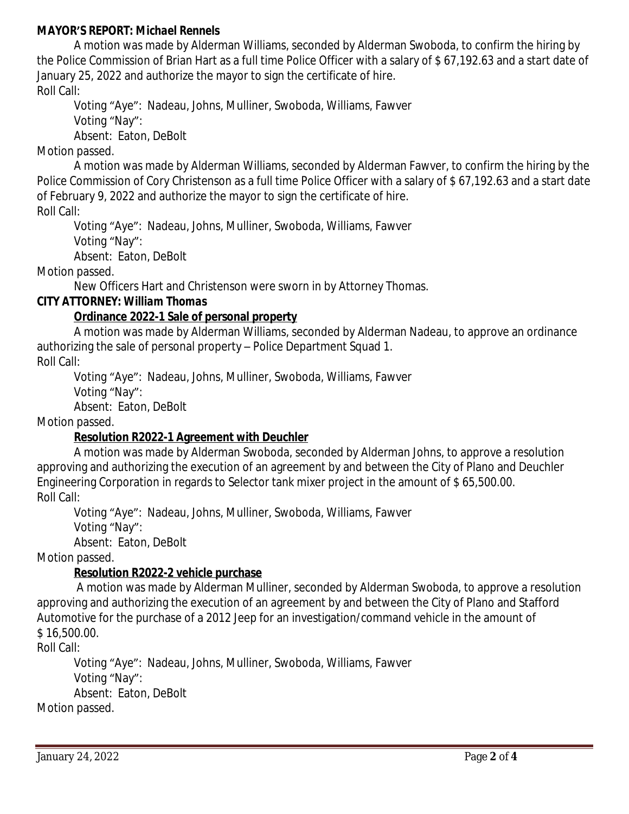#### **MAYOR'S REPORT:** *Michael Rennels*

A motion was made by Alderman Williams, seconded by Alderman Swoboda, to confirm the hiring by the Police Commission of Brian Hart as a full time Police Officer with a salary of \$ 67,192.63 and a start date of January 25, 2022 and authorize the mayor to sign the certificate of hire. Roll Call:

Voting "Aye": Nadeau, Johns, Mulliner, Swoboda, Williams, Fawver Voting "Nay":

Absent: Eaton, DeBolt

Motion passed.

A motion was made by Alderman Williams, seconded by Alderman Fawver, to confirm the hiring by the Police Commission of Cory Christenson as a full time Police Officer with a salary of \$67,192.63 and a start date of February 9, 2022 and authorize the mayor to sign the certificate of hire.

Roll Call:

Voting "Aye": Nadeau, Johns, Mulliner, Swoboda, Williams, Fawver

Voting "Nay":

Absent: Eaton, DeBolt

Motion passed.

New Officers Hart and Christenson were sworn in by Attorney Thomas.

# **CITY ATTORNEY:** *William Thomas*

## **Ordinance 2022-1 Sale of personal property**

A motion was made by Alderman Williams, seconded by Alderman Nadeau, to approve an ordinance authorizing the sale of personal property – Police Department Squad 1. Roll Call:

Voting "Aye": Nadeau, Johns, Mulliner, Swoboda, Williams, Fawver

Voting "Nay":

Absent: Eaton, DeBolt

Motion passed.

# **Resolution R2022-1 Agreement with Deuchler**

A motion was made by Alderman Swoboda, seconded by Alderman Johns, to approve a resolution approving and authorizing the execution of an agreement by and between the City of Plano and Deuchler Engineering Corporation in regards to Selector tank mixer project in the amount of \$ 65,500.00. Roll Call:

Voting "Aye": Nadeau, Johns, Mulliner, Swoboda, Williams, Fawver

Voting "Nay":

Absent: Eaton, DeBolt

Motion passed.

## **Resolution R2022-2 vehicle purchase**

 A motion was made by Alderman Mulliner, seconded by Alderman Swoboda, to approve a resolution approving and authorizing the execution of an agreement by and between the City of Plano and Stafford Automotive for the purchase of a 2012 Jeep for an investigation/command vehicle in the amount of \$ 16,500.00.

Roll Call:

Voting "Aye": Nadeau, Johns, Mulliner, Swoboda, Williams, Fawver Voting "Nay": Absent: Eaton, DeBolt Motion passed.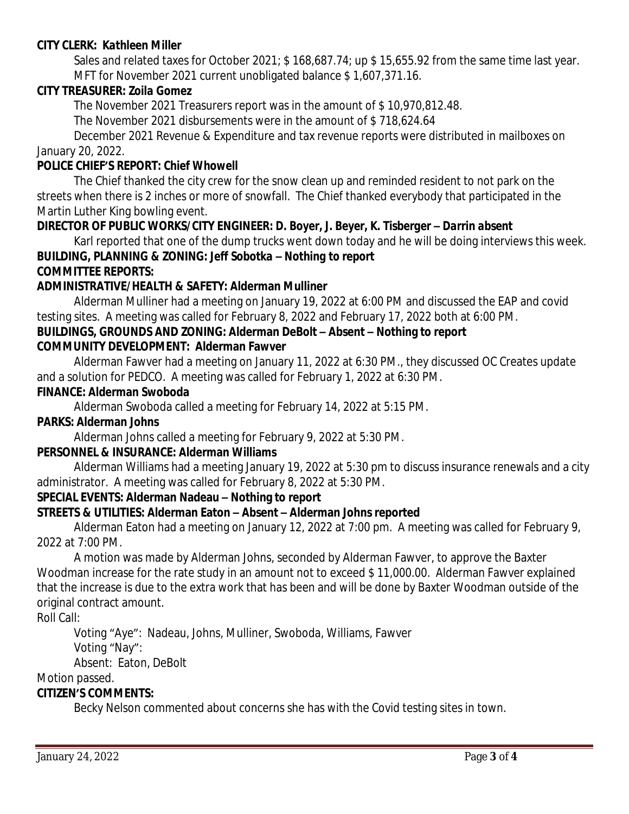#### **CITY CLERK:** *Kathleen Miller*

Sales and related taxes for October 2021; \$168,687.74; up \$15,655.92 from the same time last year. MFT for November 2021 current unobligated balance \$ 1,607,371.16.

#### **CITY TREASURER***: Zoila Gomez*

The November 2021 Treasurers report was in the amount of \$ 10,970,812.48.

The November 2021 disbursements were in the amount of \$ 718,624.64

December 2021 Revenue & Expenditure and tax revenue reports were distributed in mailboxes on January 20, 2022.

#### **POLICE CHIEF'S REPORT:** *Chief Whowell*

The Chief thanked the city crew for the snow clean up and reminded resident to not park on the streets when there is 2 inches or more of snowfall. The Chief thanked everybody that participated in the Martin Luther King bowling event.

#### **DIRECTOR OF PUBLIC WORKS/CITY ENGINEER***: D. Boyer, J. Beyer, K. Tisberger – Darrin absent*

Karl reported that one of the dump trucks went down today and he will be doing interviews this week. **BUILDING, PLANNING & ZONING:** *Jeff Sobotka – Nothing to report* **COMMITTEE REPORTS:**

#### **ADMINISTRATIVE/HEALTH & SAFETY: Alderman Mulliner**

Alderman Mulliner had a meeting on January 19, 2022 at 6:00 PM and discussed the EAP and covid testing sites. A meeting was called for February 8, 2022 and February 17, 2022 both at 6:00 PM.

#### **BUILDINGS, GROUNDS AND ZONING: Alderman DeBolt – Absent – Nothing to report COMMUNITY DEVELOPMENT: Alderman Fawver**

Alderman Fawver had a meeting on January 11, 2022 at 6:30 PM., they discussed OC Creates update and a solution for PEDCO. A meeting was called for February 1, 2022 at 6:30 PM.

#### **FINANCE: Alderman Swoboda**

Alderman Swoboda called a meeting for February 14, 2022 at 5:15 PM.

#### **PARKS: Alderman Johns**

Alderman Johns called a meeting for February 9, 2022 at 5:30 PM.

#### **PERSONNEL & INSURANCE: Alderman Williams**

Alderman Williams had a meeting January 19, 2022 at 5:30 pm to discuss insurance renewals and a city administrator. A meeting was called for February 8, 2022 at 5:30 PM.

#### **SPECIAL EVENTS: Alderman Nadeau – Nothing to report**

## **STREETS & UTILITIES: Alderman Eaton – Absent – Alderman Johns reported**

Alderman Eaton had a meeting on January 12, 2022 at 7:00 pm. A meeting was called for February 9, 2022 at 7:00 PM.

A motion was made by Alderman Johns, seconded by Alderman Fawver, to approve the Baxter Woodman increase for the rate study in an amount not to exceed \$ 11,000.00. Alderman Fawver explained that the increase is due to the extra work that has been and will be done by Baxter Woodman outside of the original contract amount.

Roll Call:

Voting "Aye": Nadeau, Johns, Mulliner, Swoboda, Williams, Fawver

Voting "Nay":

Absent: Eaton, DeBolt

## Motion passed.

## **CITIZEN'S COMMENTS:**

Becky Nelson commented about concerns she has with the Covid testing sites in town.